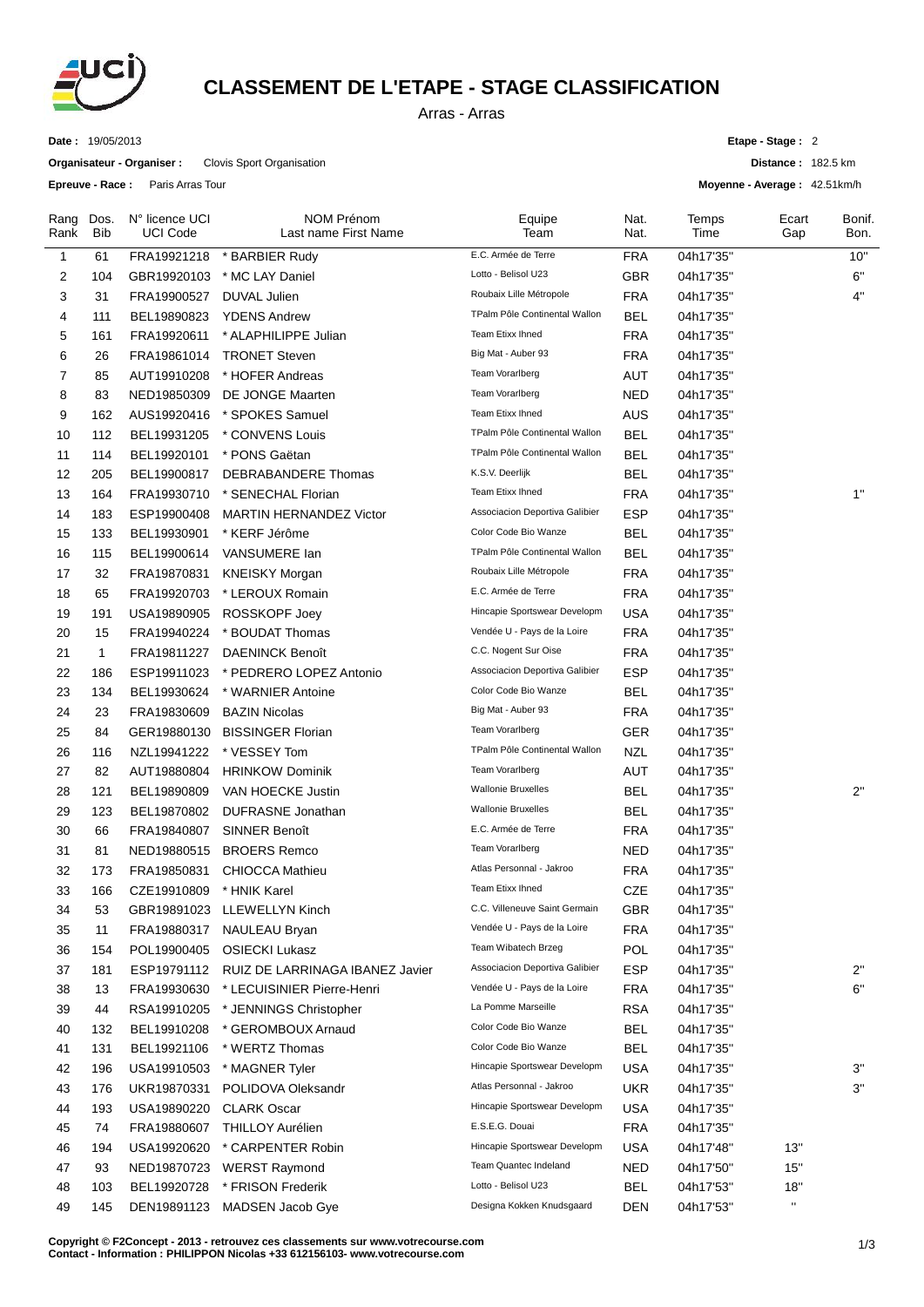

## **CLASSEMENT DE L'ETAPE - STAGE CLASSIFICATION**

Arras - Arras

**Date :** 19/05/2013

**Organisateur - Organiser :** Clovis Sport Organisation

**Epreuve - Race :** Paris Arras Tour

**Etape - Stage :** 2

**Distance :** 182.5 km

**Moyenne - Average :** 42.51km/h

| Rang<br>Rank   | Dos.<br><b>Bib</b> | N° licence UCI<br><b>UCI Code</b> | <b>NOM Prénom</b><br>Last name First Name | Equipe<br>Team                 | Nat.<br>Nat. | Temps<br>Time | Ecart<br>Gap | Bonif.<br>Bon. |
|----------------|--------------------|-----------------------------------|-------------------------------------------|--------------------------------|--------------|---------------|--------------|----------------|
| $\mathbf{1}$   | 61                 | FRA19921218                       | * BARBIER Rudy                            | E.C. Armée de Terre            | <b>FRA</b>   | 04h17'35"     |              | 10"            |
| 2              | 104                | GBR19920103                       | * MC LAY Daniel                           | Lotto - Belisol U23            | GBR          | 04h17'35"     |              | 6"             |
| 3              | 31                 | FRA19900527                       | <b>DUVAL Julien</b>                       | Roubaix Lille Métropole        | <b>FRA</b>   | 04h17'35"     |              | 4"             |
| 4              | 111                | BEL19890823                       | <b>YDENS Andrew</b>                       | TPalm Pôle Continental Wallon  | <b>BEL</b>   | 04h17'35"     |              |                |
| 5              | 161                | FRA19920611                       | * ALAPHILIPPE Julian                      | Team Etixx Ihned               | <b>FRA</b>   | 04h17'35"     |              |                |
| 6              | 26                 | FRA19861014                       | <b>TRONET Steven</b>                      | Big Mat - Auber 93             | <b>FRA</b>   | 04h17'35"     |              |                |
| $\overline{7}$ | 85                 | AUT19910208                       | * HOFER Andreas                           | Team Vorarlberg                | AUT          | 04h17'35"     |              |                |
| 8              | 83                 | NED19850309                       | DE JONGE Maarten                          | Team Vorarlberg                | <b>NED</b>   | 04h17'35"     |              |                |
| 9              | 162                | AUS19920416                       | * SPOKES Samuel                           | <b>Team Etixx Ihned</b>        | <b>AUS</b>   | 04h17'35"     |              |                |
| 10             | 112                | BEL19931205                       | * CONVENS Louis                           | TPalm Pôle Continental Wallon  | <b>BEL</b>   | 04h17'35"     |              |                |
| 11             | 114                | BEL19920101                       | * PONS Gaëtan                             | TPalm Pôle Continental Wallon  | <b>BEL</b>   | 04h17'35"     |              |                |
| 12             | 205                | BEL19900817                       | DEBRABANDERE Thomas                       | K.S.V. Deerlijk                | <b>BEL</b>   | 04h17'35"     |              |                |
| 13             | 164                | FRA19930710                       | * SENECHAL Florian                        | Team Etixx Ihned               | <b>FRA</b>   | 04h17'35"     |              | 1"             |
| 14             | 183                | ESP19900408                       | <b>MARTIN HERNANDEZ Victor</b>            | Associacion Deportiva Galibier | <b>ESP</b>   | 04h17'35"     |              |                |
| 15             | 133                | BEL19930901                       | * KERF Jérôme                             | Color Code Bio Wanze           | <b>BEL</b>   | 04h17'35"     |              |                |
| 16             | 115                | BEL19900614                       | VANSUMERE Ian                             | TPalm Pôle Continental Wallon  | <b>BEL</b>   | 04h17'35"     |              |                |
| 17             | 32                 | FRA19870831                       | <b>KNEISKY Morgan</b>                     | Roubaix Lille Métropole        | <b>FRA</b>   | 04h17'35"     |              |                |
| 18             | 65                 | FRA19920703                       | * LEROUX Romain                           | E.C. Armée de Terre            | <b>FRA</b>   | 04h17'35"     |              |                |
| 19             | 191                | USA19890905                       | <b>ROSSKOPF Joey</b>                      | Hincapie Sportswear Developm   | <b>USA</b>   | 04h17'35"     |              |                |
| 20             | 15                 | FRA19940224                       | * BOUDAT Thomas                           | Vendée U - Pays de la Loire    | <b>FRA</b>   | 04h17'35"     |              |                |
| 21             | $\mathbf{1}$       | FRA19811227                       | DAENINCK Benoît                           | C.C. Nogent Sur Oise           | <b>FRA</b>   | 04h17'35"     |              |                |
| 22             | 186                | ESP19911023                       | * PEDRERO LOPEZ Antonio                   | Associacion Deportiva Galibier | ESP          | 04h17'35"     |              |                |
| 23             | 134                | BEL19930624                       | * WARNIER Antoine                         | Color Code Bio Wanze           | <b>BEL</b>   | 04h17'35"     |              |                |
| 24             | 23                 | FRA19830609                       | <b>BAZIN Nicolas</b>                      | Big Mat - Auber 93             | <b>FRA</b>   | 04h17'35"     |              |                |
| 25             | 84                 | GER19880130                       | <b>BISSINGER Florian</b>                  | Team Vorarlberg                | <b>GER</b>   | 04h17'35"     |              |                |
| 26             | 116                | NZL19941222                       | * VESSEY Tom                              | TPalm Pôle Continental Wallon  | <b>NZL</b>   | 04h17'35"     |              |                |
| 27             | 82                 | AUT19880804                       | <b>HRINKOW Dominik</b>                    | Team Vorarlberg                | AUT          | 04h17'35"     |              |                |
| 28             | 121                | BEL19890809                       | VAN HOECKE Justin                         | <b>Wallonie Bruxelles</b>      | <b>BEL</b>   | 04h17'35"     |              | 2"             |
| 29             | 123                | BEL19870802                       | DUFRASNE Jonathan                         | <b>Wallonie Bruxelles</b>      | <b>BEL</b>   | 04h17'35"     |              |                |
| 30             | 66                 | FRA19840807                       | <b>SINNER Benoît</b>                      | E.C. Armée de Terre            | <b>FRA</b>   | 04h17'35"     |              |                |
| 31             | 81                 | NED19880515                       | <b>BROERS Remco</b>                       | Team Vorarlberg                | <b>NED</b>   | 04h17'35"     |              |                |
| 32             | 173                | FRA19850831                       | <b>CHIOCCA Mathieu</b>                    | Atlas Personnal - Jakroo       | <b>FRA</b>   | 04h17'35"     |              |                |
| 33             | 166                | CZE19910809                       | * HNIK Karel                              | Team Etixx Ihned               | CZE          | 04h17'35"     |              |                |
| 34             | 53                 | GBR19891023                       | LLEWELLYN Kinch                           | C.C. Villeneuve Saint Germain  | GBR          | 04h17'35"     |              |                |
| 35             | 11                 | FRA19880317                       | <b>NAULEAU Bryan</b>                      | Vendée U - Pays de la Loire    | <b>FRA</b>   | 04h17'35"     |              |                |
| 36             | 154                | POL19900405                       | <b>OSIECKI Lukasz</b>                     | Team Wibatech Brzeg            | POL          | 04h17'35"     |              |                |
| 37             | 181                | ESP19791112                       | RUIZ DE LARRINAGA IBANEZ Javier           | Associacion Deportiva Galibier | <b>ESP</b>   | 04h17'35"     |              | 2"             |
| 38             | 13                 | FRA19930630                       | * LECUISINIER Pierre-Henri                | Vendée U - Pays de la Loire    | <b>FRA</b>   | 04h17'35"     |              | 6"             |
| 39             | 44                 | RSA19910205                       | * JENNINGS Christopher                    | La Pomme Marseille             | <b>RSA</b>   | 04h17'35"     |              |                |
| 40             | 132                | BEL19910208                       | * GEROMBOUX Arnaud                        | Color Code Bio Wanze           | <b>BEL</b>   | 04h17'35"     |              |                |
| 41             | 131                | BEL19921106                       | * WERTZ Thomas                            | Color Code Bio Wanze           | <b>BEL</b>   | 04h17'35"     |              |                |
| 42             | 196                | USA19910503                       | * MAGNER Tyler                            | Hincapie Sportswear Developm   | <b>USA</b>   | 04h17'35"     |              | 3"             |
| 43             | 176                | UKR19870331                       | POLIDOVA Oleksandr                        | Atlas Personnal - Jakroo       | <b>UKR</b>   | 04h17'35"     |              | 3"             |
| 44             | 193                | USA19890220                       | <b>CLARK Oscar</b>                        | Hincapie Sportswear Developm   | <b>USA</b>   | 04h17'35"     |              |                |
| 45             | 74                 | FRA19880607                       | <b>THILLOY Aurélien</b>                   | E.S.E.G. Douai                 | <b>FRA</b>   | 04h17'35"     |              |                |
| 46             | 194                | USA19920620                       | * CARPENTER Robin                         | Hincapie Sportswear Developm   | <b>USA</b>   | 04h17'48"     | 13"          |                |
| 47             | 93                 | NED19870723                       | <b>WERST Raymond</b>                      | Team Quantec Indeland          | <b>NED</b>   | 04h17'50"     | 15"          |                |
| 48             | 103                | BEL19920728                       | * FRISON Frederik                         | Lotto - Belisol U23            | <b>BEL</b>   | 04h17'53"     | 18"          |                |
| 49             | 145                | DEN19891123                       | MADSEN Jacob Gye                          | Designa Kokken Knudsgaard      | DEN          | 04h17'53"     | $\mathbf{H}$ |                |

**C** 1/3 **opyright © F2Concept - 2013 - retrouvez ces classements sur www.votrecourse.com Contact - Information : PHILIPPON Nicolas +33 612156103- www.votrecourse.com**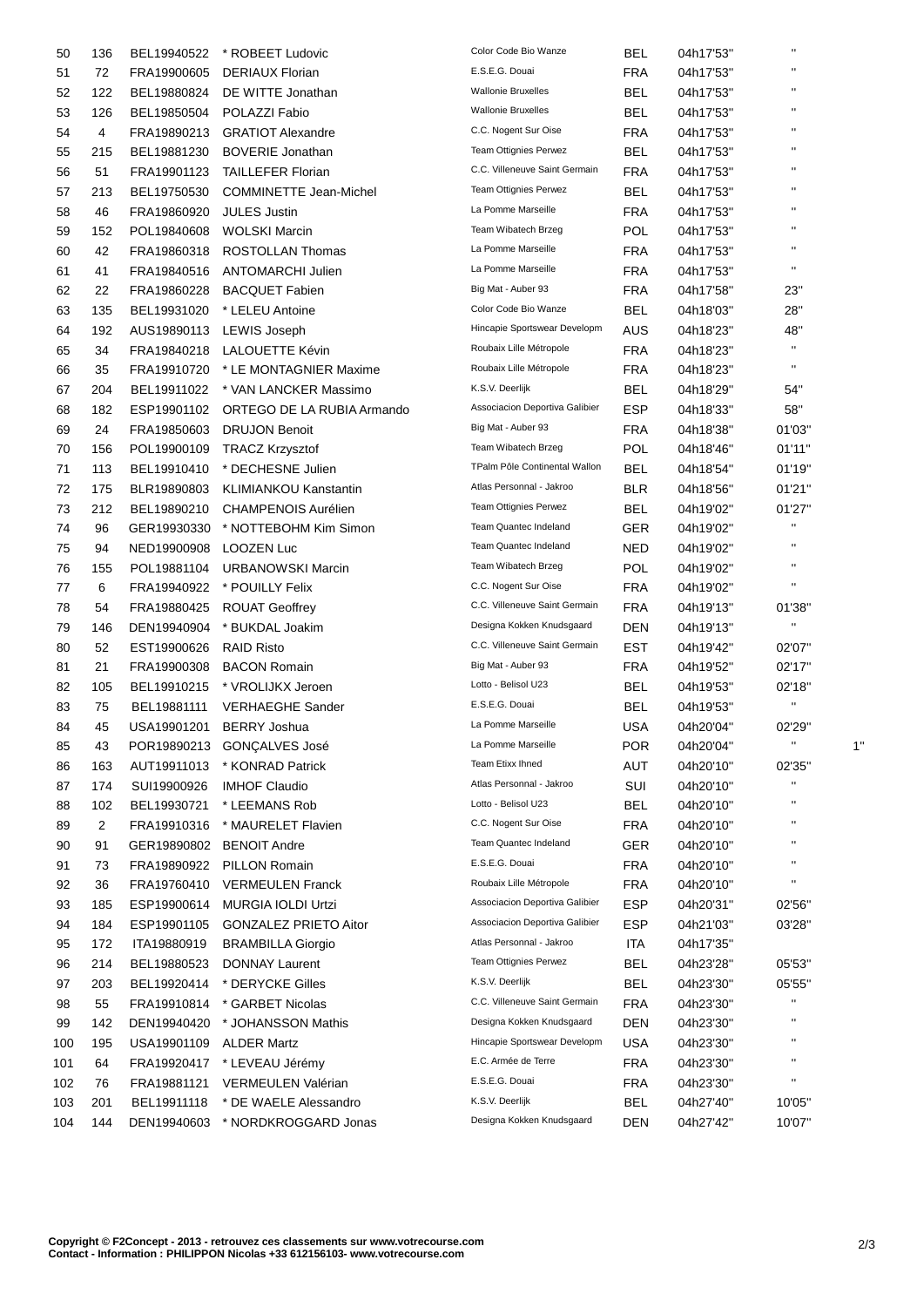| 50  | 136            | BEL19940522 | * ROBEET Ludovic              | Color Code Bio Wanze                     | <b>BEL</b> | 04h17'53" | .,                     |  |
|-----|----------------|-------------|-------------------------------|------------------------------------------|------------|-----------|------------------------|--|
| 51  | 72             | FRA19900605 | <b>DERIAUX Florian</b>        | E.S.E.G. Douai                           | <b>FRA</b> | 04h17'53" | $\pmb{\shortparallel}$ |  |
| 52  | 122            | BEL19880824 | DE WITTE Jonathan             | <b>Wallonie Bruxelles</b>                | BEL        | 04h17'53" | $\blacksquare$         |  |
| 53  | 126            | BEL19850504 | POLAZZI Fabio                 | <b>Wallonie Bruxelles</b>                | BEL        | 04h17'53" | $\blacksquare$         |  |
| 54  | 4              | FRA19890213 | <b>GRATIOT Alexandre</b>      | C.C. Nogent Sur Oise                     | <b>FRA</b> | 04h17'53" | $\blacksquare$         |  |
| 55  | 215            | BEL19881230 | <b>BOVERIE Jonathan</b>       | Team Ottignies Perwez                    | <b>BEL</b> | 04h17'53" | $\blacksquare$         |  |
| 56  | 51             | FRA19901123 | TAILLEFER Florian             | C.C. Villeneuve Saint Germain            | <b>FRA</b> | 04h17'53" | $\blacksquare$         |  |
| 57  | 213            | BEL19750530 | <b>COMMINETTE Jean-Michel</b> | <b>Team Ottignies Perwez</b>             | BEL        | 04h17'53" | $\pmb{\mathsf{H}}$     |  |
| 58  | 46             | FRA19860920 | <b>JULES Justin</b>           | La Pomme Marseille                       | <b>FRA</b> | 04h17'53" | $\blacksquare$         |  |
| 59  | 152            | POL19840608 | <b>WOLSKI Marcin</b>          | Team Wibatech Brzeg                      | <b>POL</b> | 04h17'53" | $\blacksquare$         |  |
| 60  | 42             | FRA19860318 | ROSTOLLAN Thomas              | La Pomme Marseille                       | FRA        | 04h17'53" | $\blacksquare$         |  |
| 61  | 41             | FRA19840516 | ANTOMARCHI Julien             | La Pomme Marseille                       | <b>FRA</b> | 04h17'53" | $\mathbf{H}$           |  |
| 62  | 22             | FRA19860228 | <b>BACQUET Fabien</b>         | Big Mat - Auber 93                       | <b>FRA</b> | 04h17'58" | 23"                    |  |
| 63  | 135            | BEL19931020 | * LELEU Antoine               | Color Code Bio Wanze                     | BEL        | 04h18'03" | 28"                    |  |
| 64  | 192            | AUS19890113 | <b>LEWIS Joseph</b>           | Hincapie Sportswear Developm             | AUS        | 04h18'23" | 48"                    |  |
| 65  | 34             | FRA19840218 | LALOUETTE Kévin               | Roubaix Lille Métropole                  | <b>FRA</b> | 04h18'23" | $\mathbf{H}$           |  |
| 66  | 35             | FRA19910720 | * LE MONTAGNIER Maxime        | Roubaix Lille Métropole                  | <b>FRA</b> | 04h18'23" | $\blacksquare$         |  |
| 67  | 204            | BEL19911022 | * VAN LANCKER Massimo         | K.S.V. Deerlijk                          | BEL        | 04h18'29" | 54"                    |  |
| 68  | 182            | ESP19901102 | ORTEGO DE LA RUBIA Armando    | Associacion Deportiva Galibier           | <b>ESP</b> | 04h18'33" | 58"                    |  |
| 69  | 24             | FRA19850603 | <b>DRUJON Benoit</b>          | Big Mat - Auber 93                       | <b>FRA</b> | 04h18'38" | 01'03"                 |  |
| 70  | 156            | POL19900109 | <b>TRACZ Krzysztof</b>        | Team Wibatech Brzeg                      | <b>POL</b> | 04h18'46" | 01'11"                 |  |
| 71  | 113            | BEL19910410 | * DECHESNE Julien             | TPalm Pôle Continental Wallon            | BEL        | 04h18'54" | 01'19"                 |  |
| 72  | 175            | BLR19890803 | <b>KLIMIANKOU Kanstantin</b>  | Atlas Personnal - Jakroo                 | <b>BLR</b> | 04h18'56" | 01'21"                 |  |
| 73  | 212            | BEL19890210 | <b>CHAMPENOIS Aurélien</b>    | Team Ottignies Perwez                    | BEL        | 04h19'02" | 01'27"                 |  |
| 74  | 96             | GER19930330 | * NOTTEBOHM Kim Simon         | Team Quantec Indeland                    | GER        | 04h19'02" | .,                     |  |
| 75  | 94             | NED19900908 | LOOZEN Luc                    | Team Quantec Indeland                    | NED        | 04h19'02" | $\mathbf{H}$           |  |
|     |                |             |                               | Team Wibatech Brzeg                      | <b>POL</b> |           | $\blacksquare$         |  |
| 76  | 155            | POL19881104 | <b>URBANOWSKI Marcin</b>      | C.C. Nogent Sur Oise                     | <b>FRA</b> | 04h19'02" | $\mathbf{H}$           |  |
| 77  | 6              | FRA19940922 | * POUILLY Felix               | C.C. Villeneuve Saint Germain            |            | 04h19'02" |                        |  |
| 78  | 54             | FRA19880425 | <b>ROUAT Geoffrey</b>         | Designa Kokken Knudsgaard                | <b>FRA</b> | 04h19'13" | 01'38"<br>$\mathbf{H}$ |  |
| 79  | 146            | DEN19940904 | * BUKDAL Joakim               | C.C. Villeneuve Saint Germain            | DEN        | 04h19'13" |                        |  |
| 80  | 52             | EST19900626 | <b>RAID Risto</b>             | Big Mat - Auber 93                       | EST        | 04h19'42" | 02'07"                 |  |
| 81  | 21             | FRA19900308 | <b>BACON Romain</b>           | Lotto - Belisol U23                      | <b>FRA</b> | 04h19'52" | 02'17"                 |  |
| 82  | 105            | BEL19910215 | * VROLIJKX Jeroen             | E.S.E.G. Douai                           | <b>BEL</b> | 04h19'53" | 02'18"<br>$\mathbf{H}$ |  |
| 83  | 75             | BEL19881111 | <b>VERHAEGHE Sander</b>       |                                          | BEL        | 04h19'53" |                        |  |
| 84  | 45             | USA19901201 | <b>BERRY Joshua</b>           | La Pomme Marseille<br>La Pomme Marseille | <b>USA</b> | 04h20'04" | 02'29"                 |  |
| 85  | 43             | POR19890213 | GONÇALVES José                |                                          | POR        | 04h20'04" |                        |  |
| 86  | 163            | AUT19911013 | * KONRAD Patrick              | Team Etixx Ihned                         | <b>AUT</b> | 04h20'10" | 02'35"<br>.,           |  |
| 87  | 174            | SUI19900926 | <b>IMHOF Claudio</b>          | Atlas Personnal - Jakroo                 | SUI        | 04h20'10" |                        |  |
| 88  | 102            | BEL19930721 | * LEEMANS Rob                 | Lotto - Belisol U23                      | <b>BEL</b> | 04h20'10" | $\blacksquare$         |  |
| 89  | $\overline{c}$ | FRA19910316 | * MAURELET Flavien            | C.C. Nogent Sur Oise                     | <b>FRA</b> | 04h20'10" | .,                     |  |
| 90  | 91             | GER19890802 | <b>BENOIT Andre</b>           | Team Quantec Indeland                    | <b>GER</b> | 04h20'10" | $\blacksquare$         |  |
| 91  | 73             | FRA19890922 | PILLON Romain                 | E.S.E.G. Douai                           | <b>FRA</b> | 04h20'10" | .,                     |  |
| 92  | 36             | FRA19760410 | <b>VERMEULEN Franck</b>       | Roubaix Lille Métropole                  | <b>FRA</b> | 04h20'10" | $\blacksquare$         |  |
| 93  | 185            | ESP19900614 | <b>MURGIA IOLDI Urtzi</b>     | Associacion Deportiva Galibier           | <b>ESP</b> | 04h20'31" | 02'56"                 |  |
| 94  | 184            | ESP19901105 | <b>GONZALEZ PRIETO Aitor</b>  | Associacion Deportiva Galibier           | <b>ESP</b> | 04h21'03" | 03'28"                 |  |
| 95  | 172            | ITA19880919 | <b>BRAMBILLA Giorgio</b>      | Atlas Personnal - Jakroo                 | ITA        | 04h17'35" |                        |  |
| 96  | 214            | BEL19880523 | DONNAY Laurent                | Team Ottignies Perwez                    | <b>BEL</b> | 04h23'28" | 05'53"                 |  |
| 97  | 203            | BEL19920414 | * DERYCKE Gilles              | K.S.V. Deerlijk                          | <b>BEL</b> | 04h23'30" | 05'55"                 |  |
| 98  | 55             | FRA19910814 | * GARBET Nicolas              | C.C. Villeneuve Saint Germain            | <b>FRA</b> | 04h23'30" |                        |  |
| 99  | 142            | DEN19940420 | * JOHANSSON Mathis            | Designa Kokken Knudsgaard                | DEN        | 04h23'30" | Η                      |  |
| 100 | 195            | USA19901109 | <b>ALDER Martz</b>            | Hincapie Sportswear Developm             | USA        | 04h23'30" | .,                     |  |
| 101 | 64             | FRA19920417 | * LEVEAU Jérémy               | E.C. Armée de Terre                      | <b>FRA</b> | 04h23'30" | .,                     |  |
| 102 | 76             | FRA19881121 | VERMEULEN Valérian            | E.S.E.G. Douai                           | <b>FRA</b> | 04h23'30" | .,                     |  |
| 103 | 201            | BEL19911118 | * DE WAELE Alessandro         | K.S.V. Deerlijk                          | <b>BEL</b> | 04h27'40" | 10'05"                 |  |
| 104 | 144            | DEN19940603 | * NORDKROGGARD Jonas          | Designa Kokken Knudsgaard                | DEN        | 04h27'42" | 10'07"                 |  |